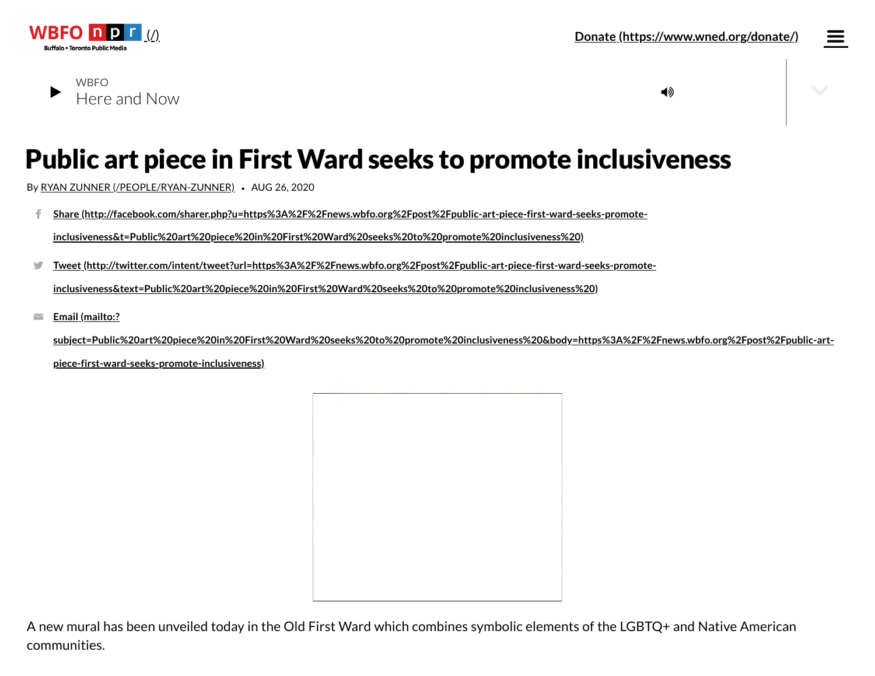

## Here and Now **WBFO**

# Public art piece in First Ward seeks to promote inclusiveness

By RYAN ZUNNER [\(/PEOPLE/RYAN-ZUNNER\)](https://news.wbfo.org/people/ryan-zunner) *•* AUG 26, 2020

**Share [\(http://facebook.com/sharer.php?u=https%3A%2F%2Fnews.wbfo.org%2Fpost%2Fpublic-art-piece-first-ward-seeks-promote](http://facebook.com/sharer.php?u=https%3A%2F%2Fnews.wbfo.org%2Fpost%2Fpublic-art-piece-first-ward-seeks-promote-inclusiveness&t=Public%20art%20piece%20in%20First%20Ward%20seeks%20to%20promote%20inclusiveness%20)inclusiveness&t=Public%20art%20piece%20in%20First%20Ward%20seeks%20to%20promote%20inclusiveness%20)** f.

**Tweet [\(http://twitter.com/intent/tweet?url=https%3A%2F%2Fnews.wbfo.org%2Fpost%2Fpublic-art-piece-first-ward-seeks-promote-](http://twitter.com/intent/tweet?url=https%3A%2F%2Fnews.wbfo.org%2Fpost%2Fpublic-art-piece-first-ward-seeks-promote-inclusiveness&text=Public%20art%20piece%20in%20First%20Ward%20seeks%20to%20promote%20inclusiveness%20)** $\blacksquare$ 

**inclusiveness&text=Public%20art%20piece%20in%20First%20Ward%20seeks%20to%20promote%20inclusiveness%20)**

**Email (mailto:?**  $\overline{\phantom{0}}$ 

> **[subject=Public%20art%20piece%20in%20First%20Ward%20seeks%20to%20promote%20inclusiveness%20&body=https%3A%2F%2Fnews.wbfo.org%2Fpost%2Fpublic-art](mailto:?subject=Public%20art%20piece%20in%20First%20Ward%20seeks%20to%20promote%20inclusiveness%20&body=https%3A%2F%2Fnews.wbfo.org%2Fpost%2Fpublic-art-piece-first-ward-seeks-promote-inclusiveness)piece-first-ward-seeks-promote-inclusiveness)**

A new mural has been unveiled today in the Old First Ward which combines symbolic elements of the LGBTQ+ and Native American communities.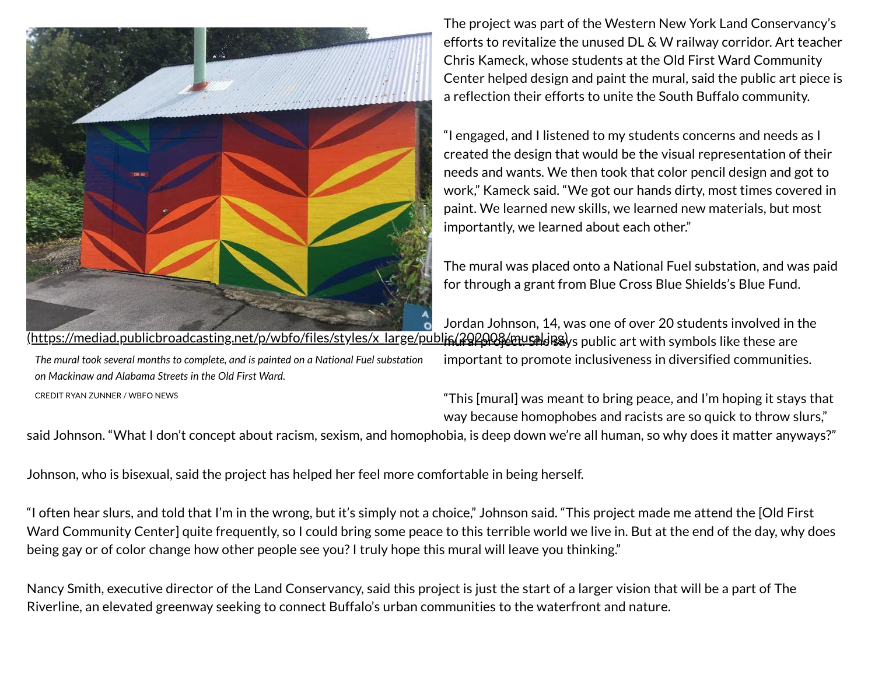

*The mural took several months to complete, and is painted on a National Fuel substation on Mackinaw and Alabama Streets in the Old First Ward.*

CREDIT RYAN ZUNNER / WBFO NEWS

The project was part of the Western New York Land Conservancy's efforts to revitalize the unused DL & W railway corridor. Art teacher Chris Kameck, whose students at the Old First Ward Community Center helped design and paint the mural, said the public art piece is a reflection their efforts to unite the South Buffalo community.

"I engaged, and I listened to my students concerns and needs as I created the design that would be the visual representation of their needs and wants. We then took that color pencil design and got to work," Kameck said. "We got our hands dirty, most times covered in paint. We learned new skills, we learned new materials, but most importantly, we learned about each other."

The mural was placed onto a National Fuel substation, and was paid for through a grant from Blue Cross Blue Shields's Blue Fund.

Jordan Johnson, 14, was one of over 20 students involved in the (https://mediad.publicbroadcasting.net/p/wbfo/files/styles/x\_large/publ**is(20208/musald**i88)ys public art with symbols like these are

important to promote inclusiveness in diversified communities.

"This [mural] was meant to bring peace, and I'm hoping it stays that way because homophobes and racists are so quick to throw slurs,"

said Johnson. "What I don't concept about racism, sexism, and homophobia, is deep down we're all human, so why does it matter anyways?"

Johnson, who is bisexual, said the project has helped her feel more comfortable in being herself.

"I often hear slurs, and told that I'm in the wrong, but it's simply not a choice," Johnson said. "This project made me attend the [Old First Ward Community Center] quite frequently, so I could bring some peace to this terrible world we live in. But at the end of the day, why does being gay or of color change how other people see you? I truly hope this mural will leave you thinking."

Nancy Smith, executive director of the Land Conservancy, said this project is just the start of a larger vision that will be a part of The Riverline, an elevated greenway seeking to connect Buffalo's urban communities to the waterfront and nature.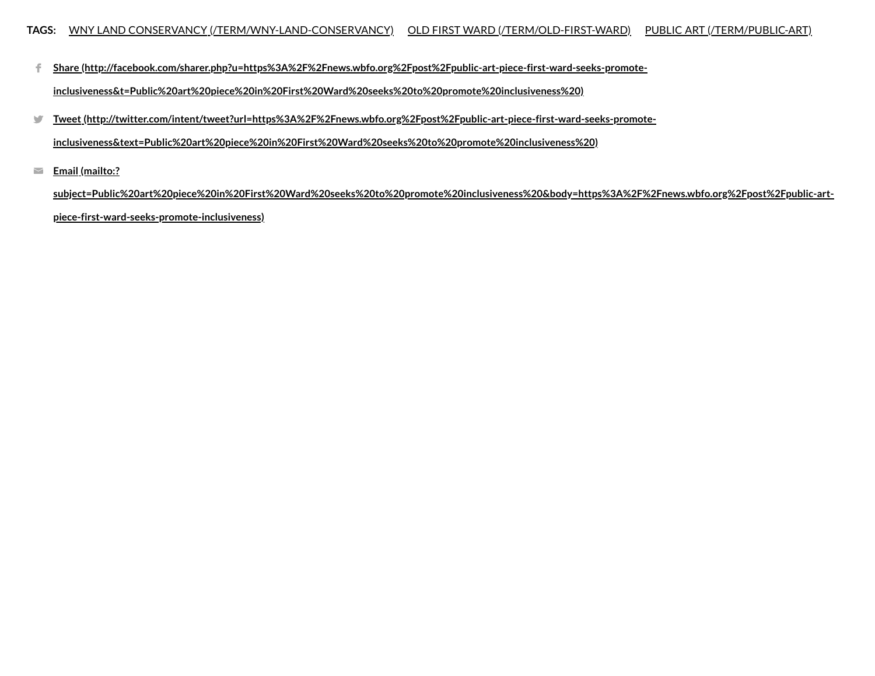**Share [\(http://facebook.com/sharer.php?u=https%3A%2F%2Fnews.wbfo.org%2Fpost%2Fpublic-art-piece-first-ward-seeks-promote-](http://facebook.com/sharer.php?u=https%3A%2F%2Fnews.wbfo.org%2Fpost%2Fpublic-art-piece-first-ward-seeks-promote-inclusiveness&t=Public%20art%20piece%20in%20First%20Ward%20seeks%20to%20promote%20inclusiveness%20)**€.

**inclusiveness&t=Public%20art%20piece%20in%20First%20Ward%20seeks%20to%20promote%20inclusiveness%20)**

**Tweet [\(http://twitter.com/intent/tweet?url=https%3A%2F%2Fnews.wbfo.org%2Fpost%2Fpublic-art-piece-first-ward-seeks-promote-](http://twitter.com/intent/tweet?url=https%3A%2F%2Fnews.wbfo.org%2Fpost%2Fpublic-art-piece-first-ward-seeks-promote-inclusiveness&text=Public%20art%20piece%20in%20First%20Ward%20seeks%20to%20promote%20inclusiveness%20)** $\mathbf{y}$ 

**inclusiveness&text=Public%20art%20piece%20in%20First%20Ward%20seeks%20to%20promote%20inclusiveness%20)**

**Email (mailto:?**  $\blacktriangleright$ 

> **[subject=Public%20art%20piece%20in%20First%20Ward%20seeks%20to%20promote%20inclusiveness%20&body=https%3A%2F%2Fnews.wbfo.org%2Fpost%2Fpublic-art](mailto:?subject=Public%20art%20piece%20in%20First%20Ward%20seeks%20to%20promote%20inclusiveness%20&body=https%3A%2F%2Fnews.wbfo.org%2Fpost%2Fpublic-art-piece-first-ward-seeks-promote-inclusiveness)piece-first-ward-seeks-promote-inclusiveness)**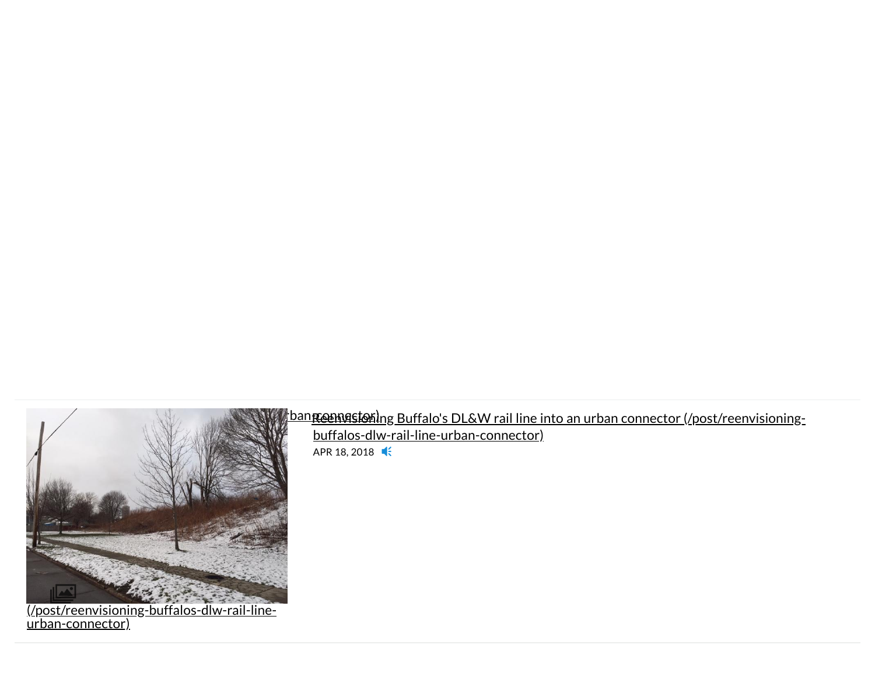

(/post/reenvisioning-buffalos-dlw-rail-line-<u>urban-connector)</u>

## envisioning bang bang between die begin begin die begin die begin die het die het oorlog van die begin die het oorlog van die het oorlog van die het oorlog van die begin van die begin van die het oorlog van die begin van d

[buffalos-dlw-rail-line-urban-connector\)](https://news.wbfo.org/post/reenvisioning-buffalos-dlw-rail-line-urban-connector) APR 18, 2018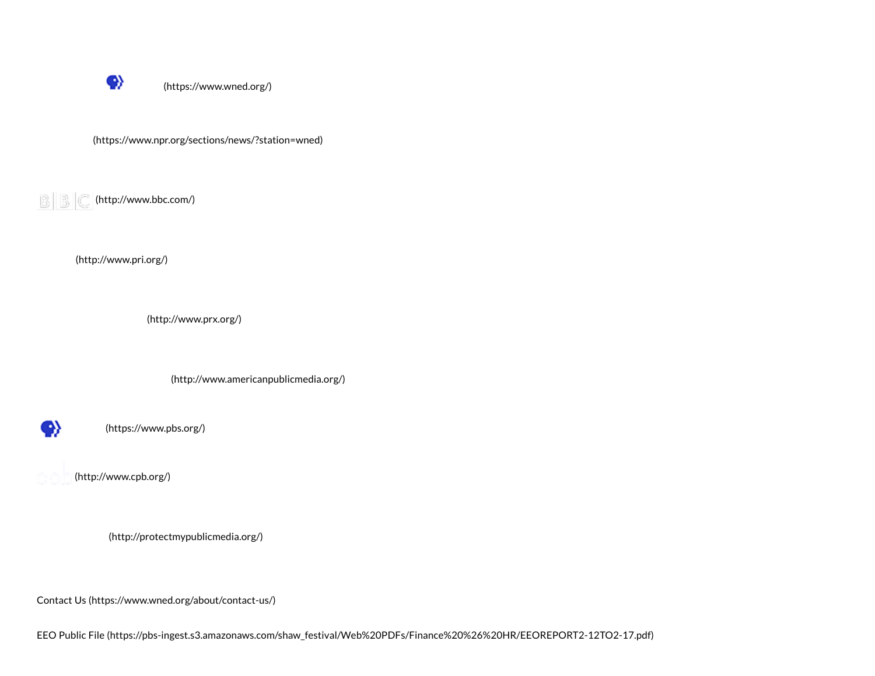

[\(https://www.wned.org/\)](https://www.wned.org/)

[\(https://www.npr.org/sections/news/?station=wned\)](https://www.npr.org/sections/news/?station=wned)

 $\left|\left|\left|\left|\left|\right|\right|\right|\right|\right|$  [\(http://www.bbc.com/\)](http://www.bbc.com/)

[\(http://www.pri.org/\)](http://www.pri.org/)

[\(http://www.prx.org/\)](http://www.prx.org/)

[\(http://www.americanpublicmedia.org/\)](http://www.americanpublicmedia.org/)



[\(https://www.pbs.org/\)](https://www.pbs.org/)

[\(http://www.cpb.org/\)](http://www.cpb.org/)

[\(http://protectmypublicmedia.org/\)](http://protectmypublicmedia.org/)

Contact Us [\(https://www.wned.org/about/contact-us/\)](https://www.wned.org/about/contact-us/)

EEO Public File [\(https://pbs-ingest.s3.amazonaws.com/shaw\\_festival/Web%20PDFs/Finance%20%26%20HR/EEOREPORT2-12TO2-17.pdf\)](https://pbs-ingest.s3.amazonaws.com/shaw_festival/Web%20PDFs/Finance%20%26%20HR/EEOREPORT2-12TO2-17.pdf)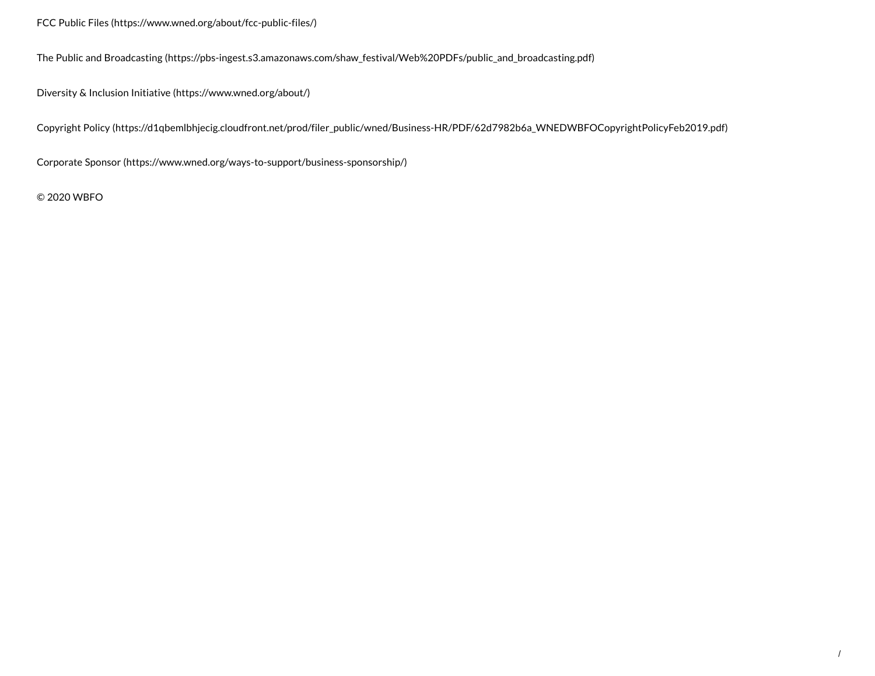FCC Public Files [\(https://www.wned.org/about/fcc-public-files/\)](https://www.wned.org/about/fcc-public-files/)

The Public and Broadcasting [\(https://pbs-ingest.s3.amazonaws.com/shaw\\_festival/Web%20PDFs/public\\_and\\_broadcasting.pdf\)](https://pbs-ingest.s3.amazonaws.com/shaw_festival/Web%20PDFs/public_and_broadcasting.pdf)

Diversity & Inclusion Initiative [\(https://www.wned.org/about/\)](https://www.wned.org/about/)

Copyright Policy [\(https://d1qbemlbhjecig.cloudfront.net/prod/filer\\_public/wned/Business-HR/PDF/62d7982b6a\\_WNEDWBFOCopyrightPolicyFeb2019.pdf\)](https://d1qbemlbhjecig.cloudfront.net/prod/filer_public/wned/Business-HR/PDF/62d7982b6a_WNEDWBFOCopyrightPolicyFeb2019.pdf)

Corporate Sponsor [\(https://www.wned.org/ways-to-support/business-sponsorship/\)](https://www.wned.org/ways-to-support/business-sponsorship/)

© 2020 WBFO